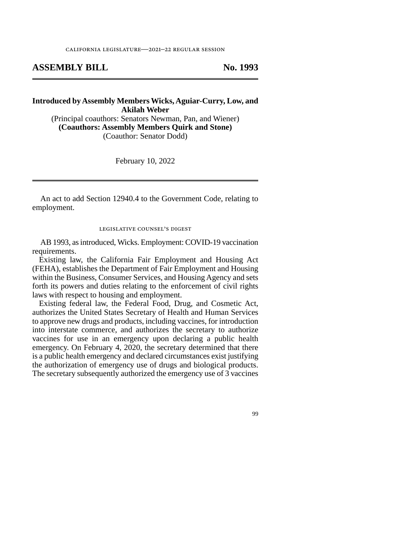## **ASSEMBLY BILL No. 1993**

## **Introduced by Assembly Members Wicks, Aguiar-Curry, Low, and Akilah Weber**

(Principal coauthors: Senators Newman, Pan, and Wiener) **(Coauthors: Assembly Members Quirk and Stone)**  (Coauthor: Senator Dodd)

February 10, 2022

An act to add Section 12940.4 to the Government Code, relating to employment.

legislative counsel's digest

AB 1993, as introduced, Wicks. Employment: COVID-19 vaccination requirements.

Existing law, the California Fair Employment and Housing Act (FEHA), establishes the Department of Fair Employment and Housing within the Business, Consumer Services, and Housing Agency and sets forth its powers and duties relating to the enforcement of civil rights laws with respect to housing and employment.

Existing federal law, the Federal Food, Drug, and Cosmetic Act, authorizes the United States Secretary of Health and Human Services to approve new drugs and products, including vaccines, for introduction into interstate commerce, and authorizes the secretary to authorize vaccines for use in an emergency upon declaring a public health emergency. On February 4, 2020, the secretary determined that there is a public health emergency and declared circumstances exist justifying the authorization of emergency use of drugs and biological products. The secretary subsequently authorized the emergency use of 3 vaccines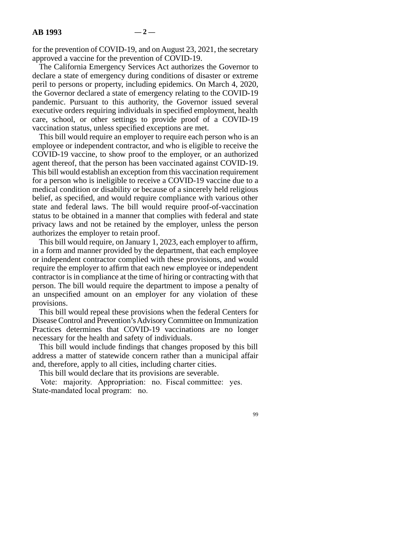for the prevention of COVID-19, and on August 23, 2021, the secretary approved a vaccine for the prevention of COVID-19.

The California Emergency Services Act authorizes the Governor to declare a state of emergency during conditions of disaster or extreme peril to persons or property, including epidemics. On March 4, 2020, the Governor declared a state of emergency relating to the COVID-19 pandemic. Pursuant to this authority, the Governor issued several executive orders requiring individuals in specified employment, health care, school, or other settings to provide proof of a COVID-19 vaccination status, unless specified exceptions are met.

This bill would require an employer to require each person who is an employee or independent contractor, and who is eligible to receive the COVID-19 vaccine, to show proof to the employer, or an authorized agent thereof, that the person has been vaccinated against COVID-19. This bill would establish an exception from this vaccination requirement for a person who is ineligible to receive a COVID-19 vaccine due to a medical condition or disability or because of a sincerely held religious belief, as specified, and would require compliance with various other state and federal laws. The bill would require proof-of-vaccination status to be obtained in a manner that complies with federal and state privacy laws and not be retained by the employer, unless the person authorizes the employer to retain proof.

This bill would require, on January 1, 2023, each employer to affirm, in a form and manner provided by the department, that each employee or independent contractor complied with these provisions, and would require the employer to affirm that each new employee or independent contractor is in compliance at the time of hiring or contracting with that person. The bill would require the department to impose a penalty of an unspecified amount on an employer for any violation of these provisions.

This bill would repeal these provisions when the federal Centers for Disease Control and Prevention's Advisory Committee on Immunization Practices determines that COVID-19 vaccinations are no longer necessary for the health and safety of individuals.

This bill would include findings that changes proposed by this bill address a matter of statewide concern rather than a municipal affair and, therefore, apply to all cities, including charter cities.

This bill would declare that its provisions are severable.

Vote: majority. Appropriation: no. Fiscal committee: yes. State-mandated local program: no.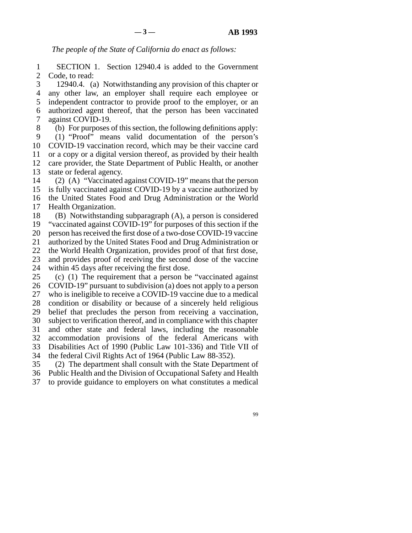*The people of the State of California do enact as follows:* 

1 SECTION 1. Section 12940.4 is added to the Government 2 Code, to read:

3 12940.4. (a) Notwithstanding any provision of this chapter or line 4 any other law, an employer shall require each employee or 5 independent contractor to provide proof to the employer, or an 6 authorized agent thereof, that the person has been vaccinated 7 against COVID-19.

8 (b) For purposes of this section, the following definitions apply: 9 (1) "Proof" means valid documentation of the person's 10 COVID-19 vaccination record, which may be their vaccine card 11 or a copy or a digital version thereof, as provided by their health 12 care provider, the State Department of Public Health. or another care provider, the State Department of Public Health, or another 13 state or federal agency.

14 (2) (A) "Vaccinated against COVID-19" means that the person 15 is fully vaccinated against COVID-19 by a vaccine authorized by 16 the United States Food and Drug Administration or the World 17 Health Organization.

18 (B) Notwithstanding subparagraph  $(A)$ , a person is considered 19 "vaccinated against COVID-19" for purposes of this section if the 20 person has received the first dose of a two-dose COVID-19 vaccine 21 authorized by the United States Food and Drug Administration or 22 the World Health Organization, provides proof of that first dose,<br>23 and provides proof of receiving the second dose of the vaccine and provides proof of receiving the second dose of the vaccine 24 within 45 days after receiving the first dose. 25 (c) (1) The requirement that a person be "vaccinated against

26 COVID-19" pursuant to subdivision (a) does not apply to a person 27 who is ineligible to receive a COVID-19 vaccine due to a medical 28 condition or disability or because of a sincerely held religious 29 belief that precludes the person from receiving a vaccination, 30 subject to verification thereof, and in compliance with this chapter 31 and other state and federal laws, including the reasonable 32 accommodation provisions of the federal Americans with 33 Disabilities Act of 1990 (Public Law 101-336) and Title VII of 34 the federal Civil Rights Act of 1964 (Public Law 88-352).

35 (2) The department shall consult with the State Department of 36 Public Health and the Division of Occupational Safety and Health

37 to provide guidance to employers on what constitutes a medical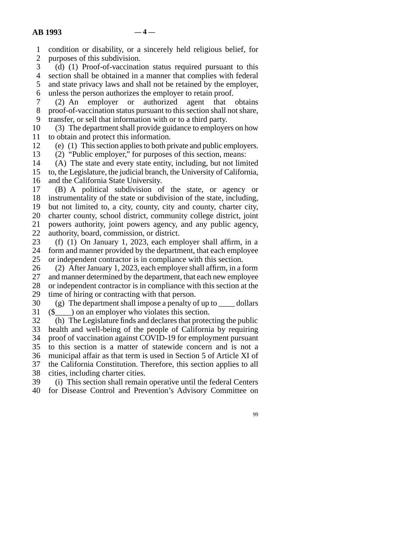line 1 condition or disability, or a sincerely held religious belief, for 2 purposes of this subdivision.<br>3 (d) (1) Proof-of-vaccination

(d)  $(1)$  Proof-of-vaccination status required pursuant to this 4 section shall be obtained in a manner that complies with federal 5 and state privacy laws and shall not be retained by the employer, 6 unless the person authorizes the employer to retain proof.

7 (2) An employer or authorized agent that obtains 8 proof-of-vaccination status pursuant to this section shall not share, 9 transfer, or sell that information with or to a third party.

10 (3) The department shall provide guidance to employers on how 11 to obtain and protect this information.

12 (e) (1) This section applies to both private and public employers.

13 (2) "Public employer," for purposes of this section, means:<br>14 (A) The state and every state entity, including, but not limi

 $(A)$  The state and every state entity, including, but not limited 15 to, the Legislature, the judicial branch, the University of California, 16 and the California State University.

17 (B) A political subdivision of the state, or agency or 18 instrumentality of the state or subdivision of the state, including, 19 but not limited to, a city, county, city and county, charter city, 20 charter county, school district, community college district, joint 21 powers authority, joint powers agency, and any public agency, 22 authority, board, commission, or district.

23 (f) (1) On January 1, 2023, each employer shall affirm, in a 24 form and manner provided by the department, that each employee<br>25 or independent contractor is in compliance with this section. or independent contractor is in compliance with this section.

26 (2) After January 1, 2023, each employer shall affirm, in a form 27 and manner determined by the department, that each new employee and manner determined by the department, that each new employee 28 or independent contractor is in compliance with this section at the 29 time of hiring or contracting with that person.

30 (g) The department shall impose a penalty of up to  $\qquad$  dollars 31 ( $\$\)$  on an employer who violates this section.

32 (h) The Legislature finds and declares that protecting the public 33 health and well-being of the people of California by requiring 34 proof of vaccination against COVID-19 for employment pursuant 35 to this section is a matter of statewide concern and is not a 36 municipal affair as that term is used in Section 5 of Article XI of 37 the California Constitution. Therefore, this section applies to all 38 cities, including charter cities.

39 (i) This section shall remain operative until the federal Centers 40 for Disease Control and Prevention's Advisory Committee on